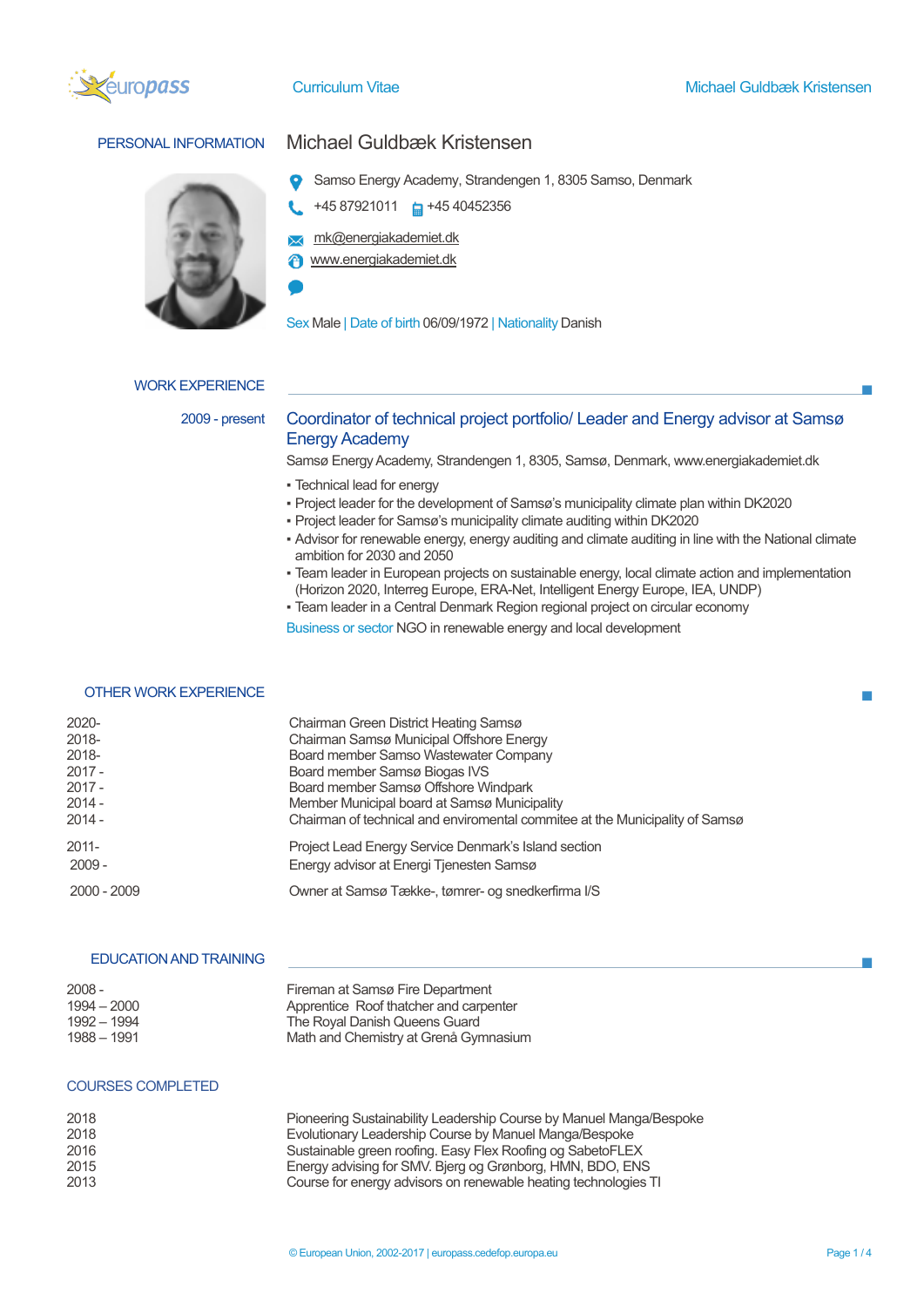



# PERSONAL INFORMATION Michael Guldbæk Kristensen

- Samso Energy Academy, Strandengen 1, 8305 Samso, Denmark
- +45 87921011  $\Box$  +45 40452356
- **x** mk@energiakademiet.dk
- www.energiakademiet.dk

Sex Male | Date of birth 06/09/1972 | Nationality Danish

# WORK EXPERIENCE

# 2009 - present Coordinator of technical project portfolio/ Leader and Energy advisor at Samsø Energy Academy

Samsø Energy Academy, Strandengen 1, 8305, Samsø, Denmark, www.energiakademiet.dk

- Technical lead for energy
- Project leader for the development of Samsø's municipality climate plan within DK2020
- Project leader for Samsø's municipality climate auditing within DK2020
- Advisor for renewable energy, energy auditing and climate auditing in line with the National climate ambition for 2030 and 2050
- Team leader in European projects on sustainable energy, local climate action and implementation (Horizon 2020, Interreg Europe, ERA-Net, Intelligent Energy Europe, IEA, UNDP)
- Team leader in a Central Denmark Region regional project on circular economy

Business or sector NGO in renewable energy and local development

# OTHER WORK EXPERIENCE

| 2020-          | Chairman Green District Heating Samsø                                             |  |
|----------------|-----------------------------------------------------------------------------------|--|
| 2018-<br>2018- | Chairman Samsø Municipal Offshore Energy<br>Board member Samso Wastewater Company |  |
| $2017 -$       | Board member Samsø Biogas IVS                                                     |  |
| $2017 -$       | Board member Samsø Offshore Windpark                                              |  |
| $2014 -$       | Member Municipal board at Samsø Municipality                                      |  |
| $2014 -$       | Chairman of technical and enviromental commitee at the Municipality of Samsø      |  |
| $2011 -$       | Project Lead Energy Service Denmark's Island section                              |  |
| $2009 -$       | Energy advisor at Energi Tjenesten Samsø                                          |  |
| 2000 - 2009    | Owner at Samsø Tække-, tømrer- og snedkerfirma I/S                                |  |

## EDUCATION AND TRAINING

| $2008 -$    | Fireman at Samsø Fire Department       |
|-------------|----------------------------------------|
| 1994 – 2000 | Apprentice Roof thatcher and carpenter |
| 1992 - 1994 | The Royal Danish Queens Guard          |
| 1988 – 1991 | Math and Chemistry at Grena Gymnasium  |

### COURSES COMPLETED

| 2018 | Pioneering Sustainability Leadership Course by Manuel Manga/Bespoke |
|------|---------------------------------------------------------------------|
| 2018 | Evolutionary Leadership Course by Manuel Manga/Bespoke              |
| 2016 | Sustainable green roofing. Easy Flex Roofing og SabetoFLEX          |
| 2015 | Energy advising for SMV. Bjerg og Grønborg, HMN, BDO, ENS           |
| 2013 | Course for energy advisors on renewable heating technologies TI     |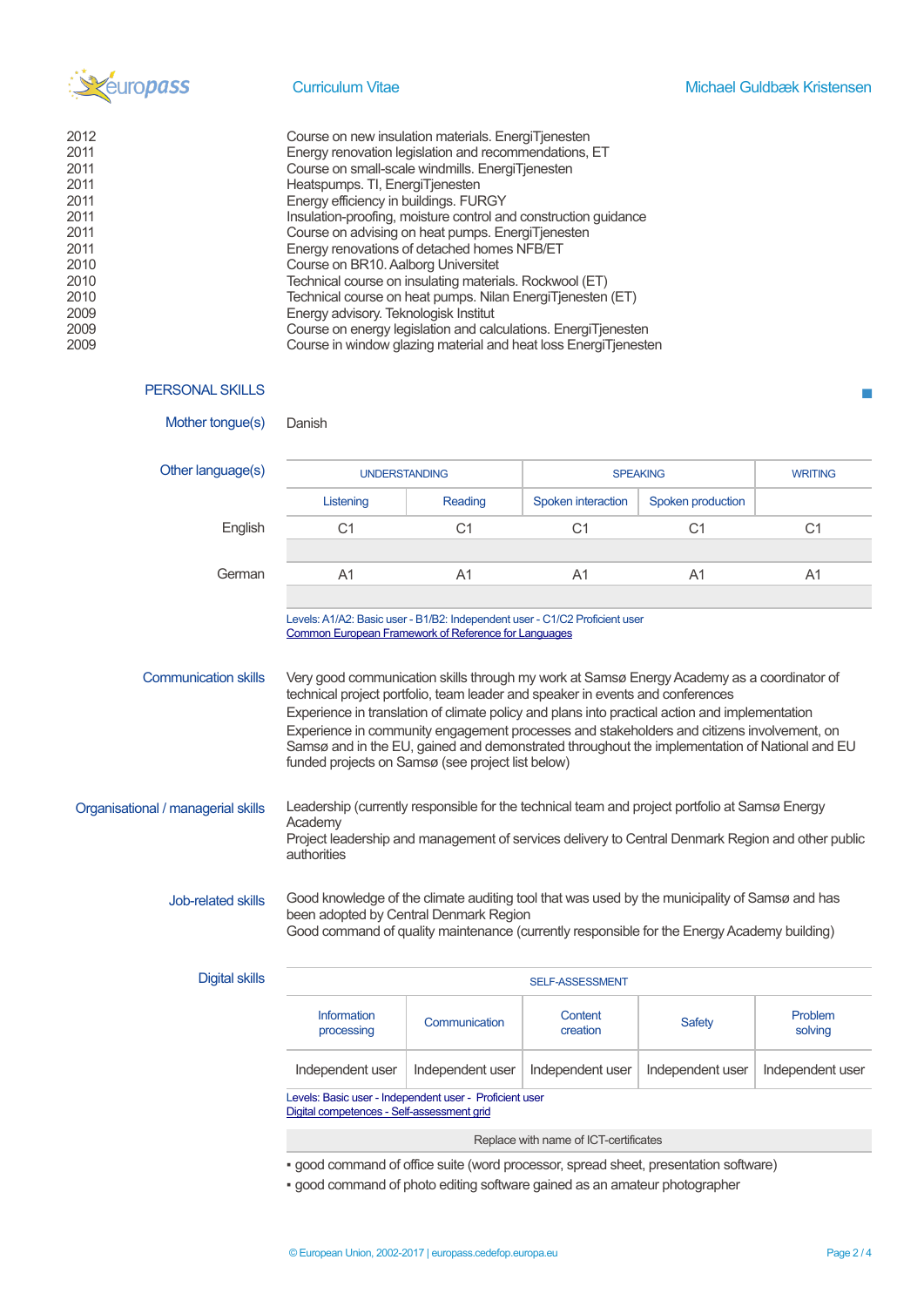

 $\blacksquare$ 

| 2012 | Course on new insulation materials. EnergiTjenesten             |
|------|-----------------------------------------------------------------|
| 2011 | Energy renovation legislation and recommendations, ET           |
| 2011 | Course on small-scale windmills. EnergiTjenesten                |
| 2011 | Heatspumps. TI, EnergiTjenesten                                 |
| 2011 | Energy efficiency in buildings. FURGY                           |
| 2011 | Insulation-proofing, moisture control and construction quidance |
| 2011 | Course on advising on heat pumps. EnergiTjenesten               |
| 2011 | Energy renovations of detached homes NFB/ET                     |
| 2010 | Course on BR10. Aalborg Universitet                             |
| 2010 | Technical course on insulating materials. Rockwool (ET)         |
| 2010 | Technical course on heat pumps. Nilan EnergiTjenesten (ET)      |
| 2009 | Energy advisory. Teknologisk Institut                           |
| 2009 | Course on energy legislation and calculations. EnergiTjenesten  |
| 2009 | Course in window glazing material and heat loss EnergiTjenesten |

### PERSONAL SKILLS

| Mother tongue(s)                                                                                      | Danish                                                                                                                                                                                                                                                                                                                                                                                                                                                                                                                             |                  |                                       |                   |                    |
|-------------------------------------------------------------------------------------------------------|------------------------------------------------------------------------------------------------------------------------------------------------------------------------------------------------------------------------------------------------------------------------------------------------------------------------------------------------------------------------------------------------------------------------------------------------------------------------------------------------------------------------------------|------------------|---------------------------------------|-------------------|--------------------|
| Other language(s)                                                                                     | <b>UNDERSTANDING</b>                                                                                                                                                                                                                                                                                                                                                                                                                                                                                                               |                  | <b>SPEAKING</b>                       |                   | <b>WRITING</b>     |
|                                                                                                       | Listening                                                                                                                                                                                                                                                                                                                                                                                                                                                                                                                          | Reading          | Spoken interaction                    | Spoken production |                    |
| English                                                                                               | C <sub>1</sub>                                                                                                                                                                                                                                                                                                                                                                                                                                                                                                                     | C <sub>1</sub>   | C <sub>1</sub>                        | C <sub>1</sub>    | C <sub>1</sub>     |
| German                                                                                                | A <sub>1</sub>                                                                                                                                                                                                                                                                                                                                                                                                                                                                                                                     | A1               | A <sub>1</sub>                        | A1                | A <sub>1</sub>     |
|                                                                                                       |                                                                                                                                                                                                                                                                                                                                                                                                                                                                                                                                    |                  |                                       |                   |                    |
|                                                                                                       | Levels: A1/A2: Basic user - B1/B2: Independent user - C1/C2 Proficient user<br>Common European Framework of Reference for Languages                                                                                                                                                                                                                                                                                                                                                                                                |                  |                                       |                   |                    |
| <b>Communication skills</b>                                                                           | Very good communication skills through my work at Samsø Energy Academy as a coordinator of<br>technical project portfolio, team leader and speaker in events and conferences<br>Experience in translation of climate policy and plans into practical action and implementation<br>Experience in community engagement processes and stakeholders and citizens involvement, on<br>Samsø and in the EU, gained and demonstrated throughout the implementation of National and EU<br>funded projects on Samsø (see project list below) |                  |                                       |                   |                    |
| Organisational / managerial skills                                                                    | Leadership (currently responsible for the technical team and project portfolio at Samsø Energy<br>Academy<br>Project leadership and management of services delivery to Central Denmark Region and other public<br>authorities                                                                                                                                                                                                                                                                                                      |                  |                                       |                   |                    |
| Job-related skills                                                                                    | Good knowledge of the climate auditing tool that was used by the municipality of Samsø and has<br>been adopted by Central Denmark Region<br>Good command of quality maintenance (currently responsible for the Energy Academy building)                                                                                                                                                                                                                                                                                            |                  |                                       |                   |                    |
| <b>Digital skills</b>                                                                                 | SELF-ASSESSMENT                                                                                                                                                                                                                                                                                                                                                                                                                                                                                                                    |                  |                                       |                   |                    |
|                                                                                                       | Information<br>processing                                                                                                                                                                                                                                                                                                                                                                                                                                                                                                          | Communication    | Content<br>creation                   | <b>Safety</b>     | Problem<br>solving |
|                                                                                                       | Independent user                                                                                                                                                                                                                                                                                                                                                                                                                                                                                                                   | Independent user | Independent user                      | Independent user  | Independent user   |
| Levels: Basic user - Independent user - Proficient user<br>Digital competences - Self-assessment grid |                                                                                                                                                                                                                                                                                                                                                                                                                                                                                                                                    |                  |                                       |                   |                    |
|                                                                                                       |                                                                                                                                                                                                                                                                                                                                                                                                                                                                                                                                    |                  | Replace with name of ICT-certificates |                   |                    |
|                                                                                                       | · good command of office suite (word processor, spread sheet, presentation software)                                                                                                                                                                                                                                                                                                                                                                                                                                               |                  |                                       |                   |                    |

▪ good command of photo editing software gained as an amateur photographer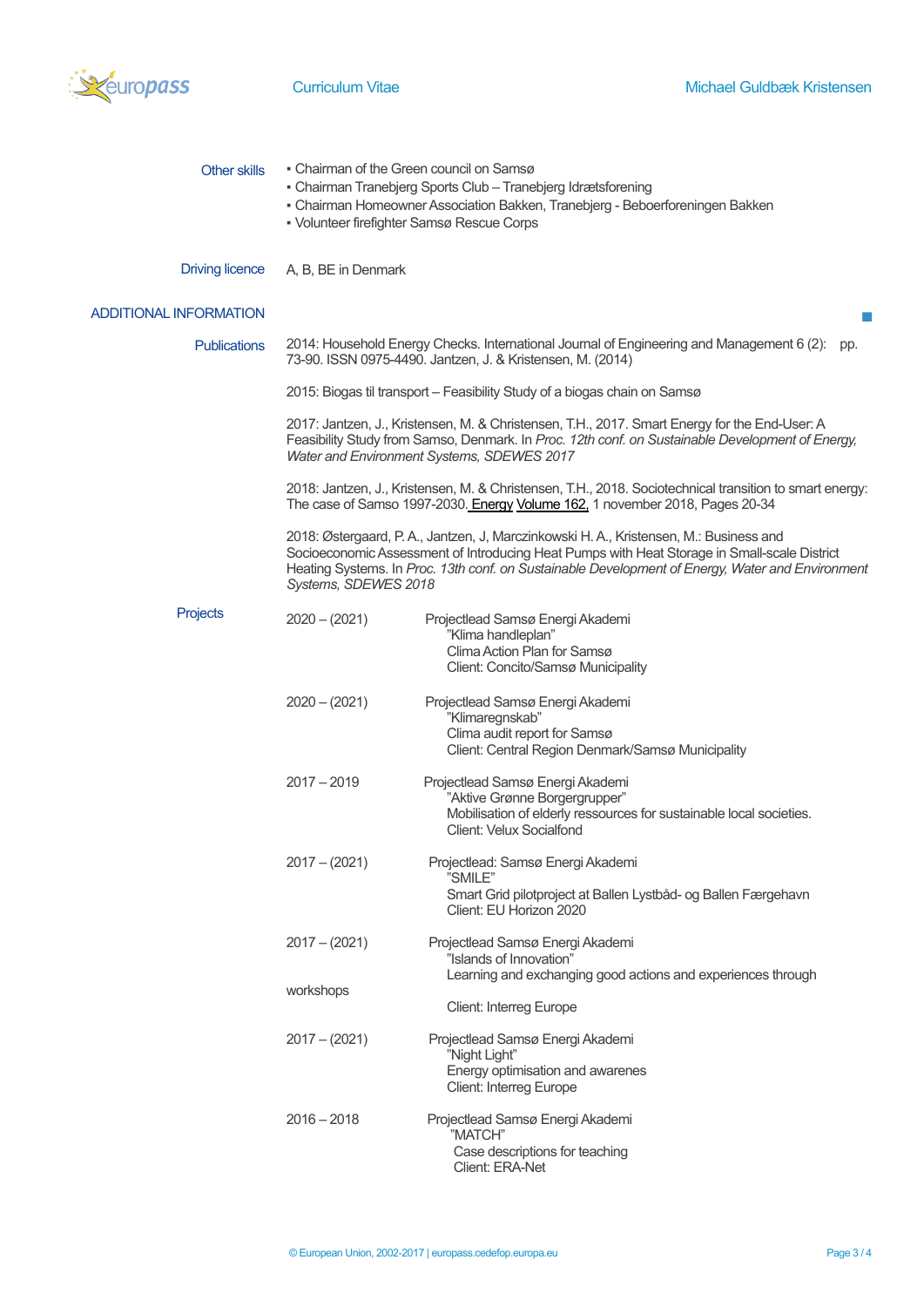

| <b>Other skills</b>           | • Chairman of the Green council on Samsø<br>- Chairman Tranebjerg Sports Club - Tranebjerg Idrætsforening<br>- Chairman Homeowner Association Bakken, Tranebjerg - Beboerforeningen Bakken<br>• Volunteer firefighter Samsø Rescue Corps                                                                           |                                                                                                                                                                                                                                                 |
|-------------------------------|--------------------------------------------------------------------------------------------------------------------------------------------------------------------------------------------------------------------------------------------------------------------------------------------------------------------|-------------------------------------------------------------------------------------------------------------------------------------------------------------------------------------------------------------------------------------------------|
| <b>Driving licence</b>        | A, B, BE in Denmark                                                                                                                                                                                                                                                                                                |                                                                                                                                                                                                                                                 |
| <b>ADDITIONAL INFORMATION</b> |                                                                                                                                                                                                                                                                                                                    |                                                                                                                                                                                                                                                 |
| <b>Publications</b>           | 2014: Household Energy Checks. International Journal of Engineering and Management 6 (2):<br>pp.<br>73-90. ISSN 0975-4490. Jantzen, J. & Kristensen, M. (2014)                                                                                                                                                     |                                                                                                                                                                                                                                                 |
|                               |                                                                                                                                                                                                                                                                                                                    | 2015: Biogas til transport - Feasibility Study of a biogas chain on Samsø                                                                                                                                                                       |
|                               |                                                                                                                                                                                                                                                                                                                    | 2017: Jantzen, J., Kristensen, M. & Christensen, T.H., 2017. Smart Energy for the End-User: A<br>Feasibility Study from Samso, Denmark. In Proc. 12th conf. on Sustainable Development of Energy,<br>Water and Environment Systems, SDEWES 2017 |
|                               |                                                                                                                                                                                                                                                                                                                    | 2018: Jantzen, J., Kristensen, M. & Christensen, T.H., 2018. Sociotechnical transition to smart energy:<br>The case of Samso 1997-2030. Energy Volume 162, 1 november 2018, Pages 20-34                                                         |
|                               | 2018: Østergaard, P. A., Jantzen, J, Marczinkowski H. A., Kristensen, M.: Business and<br>Socioeconomic Assessment of Introducing Heat Pumps with Heat Storage in Small-scale District<br>Heating Systems. In Proc. 13th conf. on Sustainable Development of Energy, Water and Environment<br>Systems, SDEWES 2018 |                                                                                                                                                                                                                                                 |
| Projects                      | $2020 - (2021)$                                                                                                                                                                                                                                                                                                    | Projectlead Samsø Energi Akademi<br>"Klima handleplan"<br>Clima Action Plan for Samsø<br>Client: Concito/Samsø Municipality                                                                                                                     |
|                               | $2020 - (2021)$                                                                                                                                                                                                                                                                                                    | Projectlead Samsø Energi Akademi<br>"Klimaregnskab"<br>Clima audit report for Samsø<br>Client: Central Region Denmark/Samsø Municipality                                                                                                        |
|                               | $2017 - 2019$                                                                                                                                                                                                                                                                                                      | Projectlead Samsø Energi Akademi<br>"Aktive Grønne Borgergrupper"<br>Mobilisation of elderly ressources for sustainable local societies.<br><b>Client: Velux Socialfond</b>                                                                     |
|                               | $2017 - (2021)$                                                                                                                                                                                                                                                                                                    | Projectlead: Samsø Energi Akademi<br>"SMILE"<br>Smart Grid pilotproject at Ballen Lystbåd- og Ballen Færgehavn<br>Client: EU Horizon 2020                                                                                                       |
|                               | $2017 - (2021)$                                                                                                                                                                                                                                                                                                    | Projectlead Samsø Energi Akademi<br>"Islands of Innovation"                                                                                                                                                                                     |
|                               | workshops                                                                                                                                                                                                                                                                                                          | Learning and exchanging good actions and experiences through<br><b>Client: Interreg Europe</b>                                                                                                                                                  |
|                               | $2017 - (2021)$                                                                                                                                                                                                                                                                                                    | Projectlead Samsø Energi Akademi<br>"Night Light"<br>Energy optimisation and awarenes<br>Client: Interreg Europe                                                                                                                                |
|                               | $2016 - 2018$                                                                                                                                                                                                                                                                                                      | Projectlead Samsø Energi Akademi<br>"MATCH"<br>Case descriptions for teaching<br>Client: ERA-Net                                                                                                                                                |